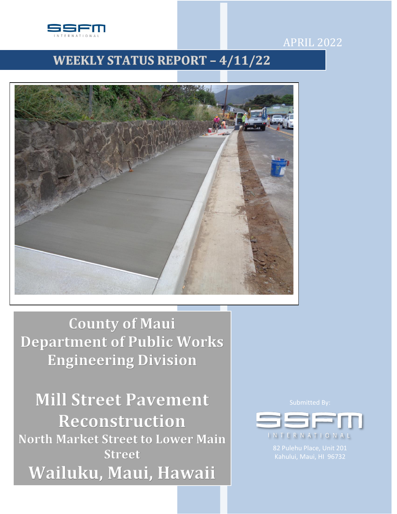

#### North Market Street to Lower Main Street Website – APRIL 2022

# WEEKLY STATUS REPORT - 4/11/22



**County of Maui Department of Public Works Engineering Division** 

**Mill Street Pavement** Reconstruction **North Market Street to Lower Main Street** Wailuku, Maui, Hawaii

I N T E R N A T I O N A L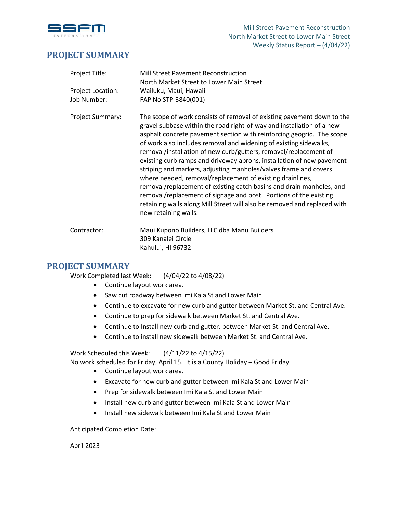

## **PROJECT SUMMARY**

| Mill Street Pavement Reconstruction                                                                                                                                                                                                                                                                                                                                                                                                                                                                                                                                                                                                                                                                                                                                                                                          |
|------------------------------------------------------------------------------------------------------------------------------------------------------------------------------------------------------------------------------------------------------------------------------------------------------------------------------------------------------------------------------------------------------------------------------------------------------------------------------------------------------------------------------------------------------------------------------------------------------------------------------------------------------------------------------------------------------------------------------------------------------------------------------------------------------------------------------|
| North Market Street to Lower Main Street                                                                                                                                                                                                                                                                                                                                                                                                                                                                                                                                                                                                                                                                                                                                                                                     |
| Wailuku, Maui, Hawaii                                                                                                                                                                                                                                                                                                                                                                                                                                                                                                                                                                                                                                                                                                                                                                                                        |
| FAP No STP-3840(001)                                                                                                                                                                                                                                                                                                                                                                                                                                                                                                                                                                                                                                                                                                                                                                                                         |
| The scope of work consists of removal of existing pavement down to the<br>gravel subbase within the road right-of-way and installation of a new<br>asphalt concrete pavement section with reinforcing geogrid. The scope<br>of work also includes removal and widening of existing sidewalks,<br>removal/installation of new curb/gutters, removal/replacement of<br>existing curb ramps and driveway aprons, installation of new pavement<br>striping and markers, adjusting manholes/valves frame and covers<br>where needed, removal/replacement of existing drainlines,<br>removal/replacement of existing catch basins and drain manholes, and<br>removal/replacement of signage and post. Portions of the existing<br>retaining walls along Mill Street will also be removed and replaced with<br>new retaining walls. |
| Maui Kupono Builders, LLC dba Manu Builders<br>309 Kanalei Circle                                                                                                                                                                                                                                                                                                                                                                                                                                                                                                                                                                                                                                                                                                                                                            |
|                                                                                                                                                                                                                                                                                                                                                                                                                                                                                                                                                                                                                                                                                                                                                                                                                              |

## **PROJECT SUMMARY**

Work Completed last Week: (4/04/22 to 4/08/22)

- Continue layout work area.
- Saw cut roadway between Imi Kala St and Lower Main

Kahului, HI 96732

- Continue to excavate for new curb and gutter between Market St. and Central Ave.
- Continue to prep for sidewalk between Market St. and Central Ave.
- Continue to Install new curb and gutter. between Market St. and Central Ave.
- Continue to install new sidewalk between Market St. and Central Ave.

Work Scheduled this Week: (4/11/22 to 4/15/22)

- No work scheduled for Friday, April 15. It is a County Holiday Good Friday.
	- Continue layout work area.
	- Excavate for new curb and gutter between Imi Kala St and Lower Main
	- Prep for sidewalk between Imi Kala St and Lower Main
	- Install new curb and gutter between Imi Kala St and Lower Main
	- Install new sidewalk between Imi Kala St and Lower Main

Anticipated Completion Date:

April 2023